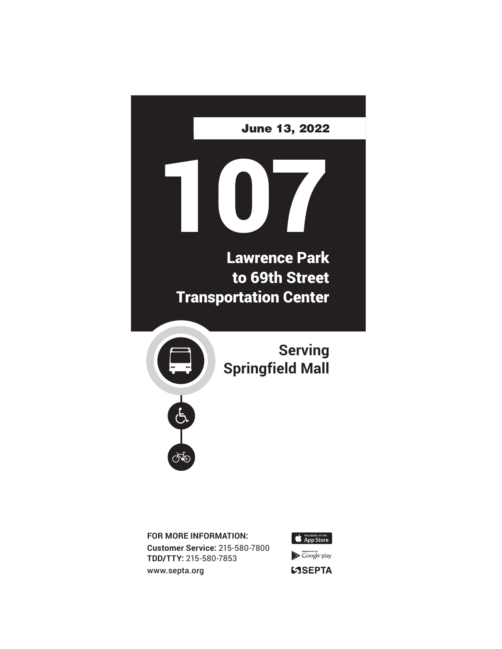

**FOR MORE INFORMATION: Customer Service:** 215-580-7800 **TDD/TTY:** 215-580-7853 www.septa.org



**SSEPTA**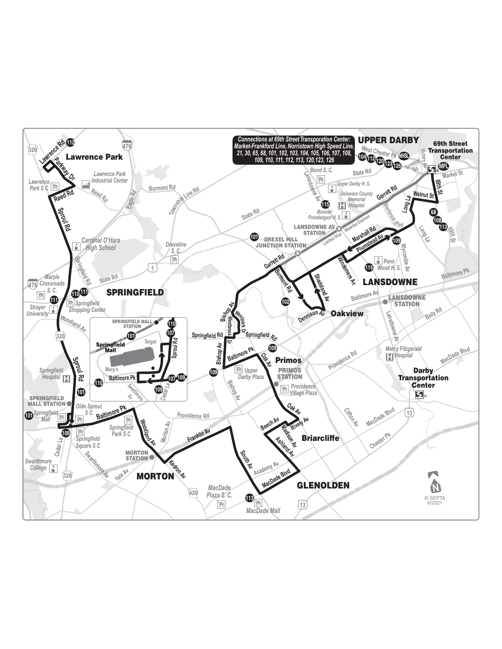